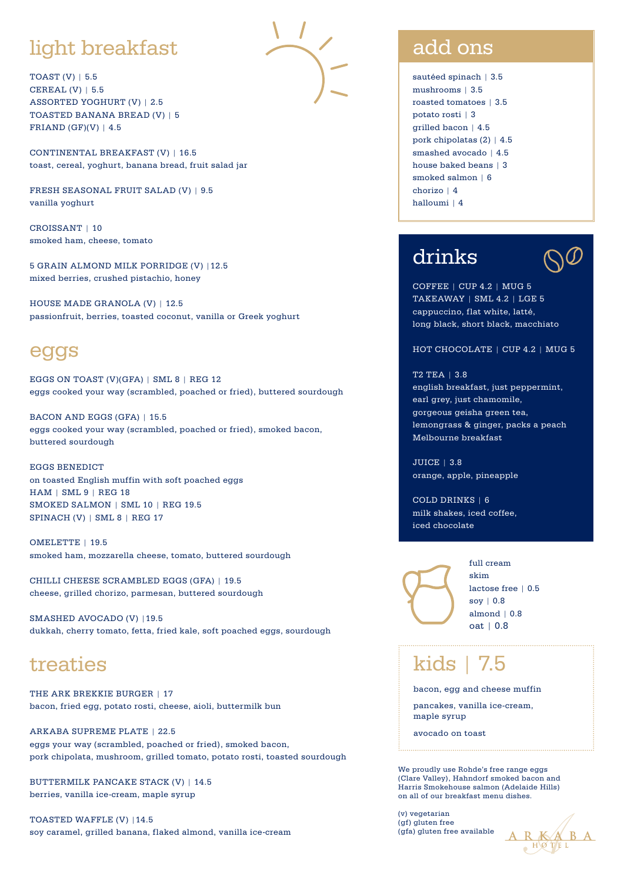# light breakfast

TOAST (V) | 5.5 CEREAL (V) | 5.5 ASSORTED YOGHURT (V) | 2.5 TOASTED BANANA BREAD (V) | 5 FRIAND  $(GF)(V)$  | 4.5

CONTINENTAL BREAKFAST (V) | 16.5 toast, cereal, yoghurt, banana bread, fruit salad jar

FRESH SEASONAL FRUIT SALAD (V) | 9.5 vanilla yoghurt

CROISSANT | 10 smoked ham, cheese, tomato

5 GRAIN ALMOND MILK PORRIDGE (V) |12.5 mixed berries, crushed pistachio, honey

HOUSE MADE GRANOLA (V) | 12.5 passionfruit, berries, toasted coconut, vanilla or Greek yoghurt

#### eggs

EGGS ON TOAST (V)(GFA) | SML 8 | REG 12 eggs cooked your way (scrambled, poached or fried), buttered sourdough

BACON AND EGGS (GFA) | 15.5 eggs cooked your way (scrambled, poached or fried), smoked bacon, buttered sourdough

EGGS BENEDICT on toasted English muffin with soft poached eggs HAM | SML 9 | REG 18 SMOKED SALMON | SML 10 | REG 19.5 SPINACH (V) | SML 8 | REG 17

OMELETTE | 19.5 smoked ham, mozzarella cheese, tomato, buttered sourdough

CHILLI CHEESE SCRAMBLED EGGS (GFA) | 19.5 cheese, grilled chorizo, parmesan, buttered sourdough

SMASHED AVOCADO (V) |19.5 dukkah, cherry tomato, fetta, fried kale, soft poached eggs, sourdough

## treaties

THE ARK BREKKIE BURGER | 17 bacon, fried egg, potato rosti, cheese, aioli, buttermilk bun

ARKABA SUPREME PLATE | 22.5 eggs your way (scrambled, poached or fried), smoked bacon, pork chipolata, mushroom, grilled tomato, potato rosti, toasted sourdough

BUTTERMILK PANCAKE STACK (V) | 14.5 berries, vanilla ice-cream, maple syrup

TOASTED WAFFLE (V) |14.5 soy caramel, grilled banana, flaked almond, vanilla ice-cream

### add ons

sautéed spinach | 3.5 mushrooms | 3.5 roasted tomatoes | 3.5 potato rosti | 3 grilled bacon | 4.5 pork chipolatas (2) | 4.5 smashed avocado | 4.5 house baked beans | 3 smoked salmon | 6 chorizo | 4 halloumi | 4

# drinks



COFFEE | CUP 4.2 | MUG 5 TAKEAWAY | SML 4.2 | LGE 5 cappuccino, flat white, latté, long black, short black, macchiato

HOT CHOCOLATE | CUP 4.2 | MUG 5

#### T2 TEA | 3.8 english breakfast, just peppermint, earl grey, just chamomile, gorgeous geisha green tea, lemongrass & ginger, packs a peach Melbourne breakfast

JUICE | 3.8 orange, apple, pineapple

COLD DRINKS | 6 milk shakes, iced coffee, iced chocolate



full cream skim lactose free | 0.5 soy | 0.8 almond  $|0.8$ oat | 0.8

kids | 7.5

bacon, egg and cheese muffin

pancakes, vanilla ice-cream, maple syrup

avocado on toast

We proudly use Rohde's free range eggs (Clare Valley), Hahndorf smoked bacon and Harris Smokehouse salmon (Adelaide Hills) on all of our breakfast menu dishes.

 $(v)$  vegetarian (gf) gluten free (gfa) gluten free available